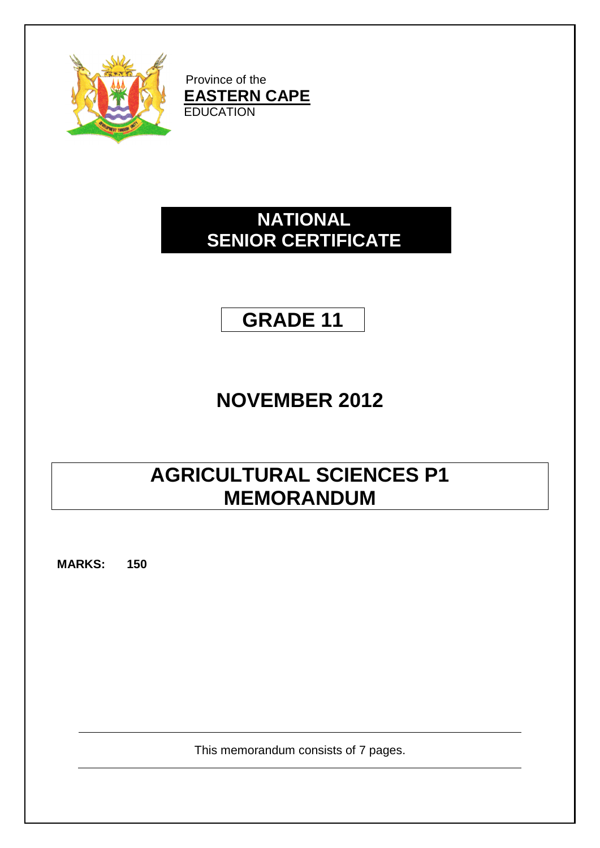

Province of the **EASTERN CAPE EDUCATION** 

# **NATIONAL SENIOR CERTIFICATE**

# **GRADE 11**

# **NOVEMBER 2012**

# **AGRICULTURAL SCIENCES P1 MEMORANDUM**

**MARKS: 150**

This memorandum consists of 7 pages.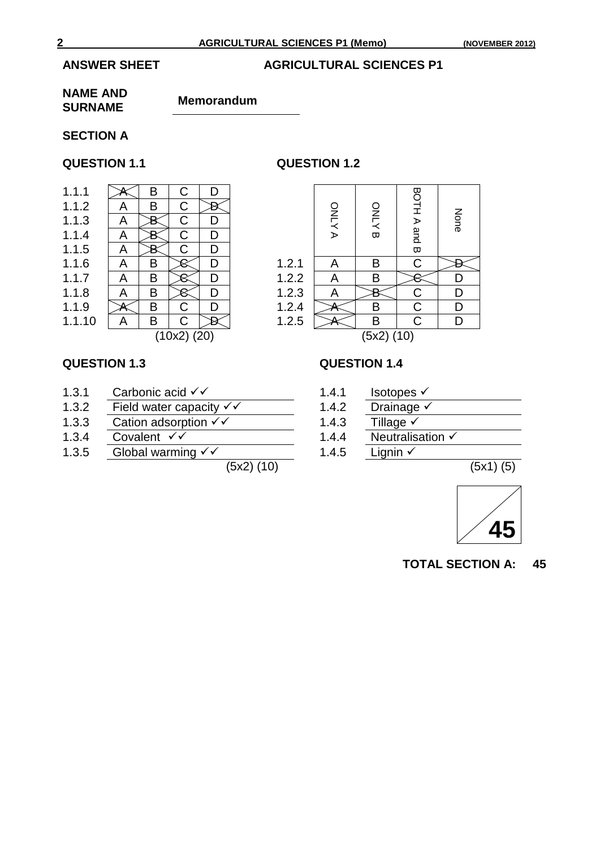## **ANSWER SHEET AGRICULTURAL SCIENCES P1**

### **NAME AND SURNAME Memorandum**

## **SECTION A**

## **QUESTION 1.1 QUESTION 1.2**

| 1.1.1  |                 | B | C | D |  |  |
|--------|-----------------|---|---|---|--|--|
| 1.1.2  | Α               | в | C |   |  |  |
| 1.1.3  | Α               |   | C | D |  |  |
| 1.1.4  | Α               |   | C | D |  |  |
| 1.1.5  | A               |   | C | D |  |  |
| 1.1.6  | Α               | в |   | D |  |  |
| 1.1.7  | Α               | B |   | D |  |  |
| 1.1.8  | Α               | B |   | D |  |  |
| 1.1.9  |                 | B | C | D |  |  |
| 1.1.10 |                 | в | C |   |  |  |
|        | $(10x2)$ $(20)$ |   |   |   |  |  |
|        |                 |   |   |   |  |  |

|                 | B | C | D |  |                                           |        |             |                                     |
|-----------------|---|---|---|--|-------------------------------------------|--------|-------------|-------------------------------------|
| A               | B | С |   |  |                                           |        |             |                                     |
| A               |   | С |   |  |                                           |        |             | None                                |
| A               |   | С | D |  |                                           | ᡂ      |             |                                     |
| A               |   | С | D |  |                                           |        |             |                                     |
| A               | Β |   | D |  | Α                                         | В      | C           |                                     |
| Α               | В |   | D |  | Α                                         | В      |             |                                     |
| A               | В |   | D |  | A                                         |        | $\mathsf C$ | D                                   |
|                 | B | C |   |  |                                           | B      | $\mathsf C$ | D                                   |
| A               | B | C |   |  |                                           | B      | C           | D                                   |
| $(10x2)$ $(20)$ |   |   |   |  |                                           |        |             |                                     |
|                 |   |   |   |  | 1.2.1<br>1.2.2<br>1.2.3<br>1.2.4<br>1.2.5 | ONLY A | <b>ONLY</b> | <b>BOTHA</b><br>and B<br>(5x2) (10) |

- 1.3.1 Carbonic acid  $\checkmark$  1.4.1 Isotopes  $\checkmark$  1.3.2 Field water capacity  $\checkmark$  1.4.2 Drainage  $\checkmark$
- 1.3.2 Field water capacity  $\sqrt{\overline{\phantom{0}}}$  1.4.2 Drainage<br>1.3.3 Cation adsorption  $\sqrt{\overline{\phantom{0}}}$  1.4.3 Tillage  $\sqrt{\overline{\phantom{0}}}$
- 1.3.3 Cation adsorption  $\sqrt{x}$  1.4.3<br>1.3.4 Covalent  $\sqrt{x}$  1.4.4
- 
- 1.3.5 Global warming  $\checkmark$  1.4.5 Lignin  $\checkmark$

 $(5x2)$  (10)  $(5x1)$  (5)

## **QUESTION 1.3 QUESTION 1.4**

- 
- 
- 
- 1.3.4 Covalent  $\checkmark$  1.4.4 Neutralisation  $\checkmark$ 
	-



**TOTAL SECTION A: 45**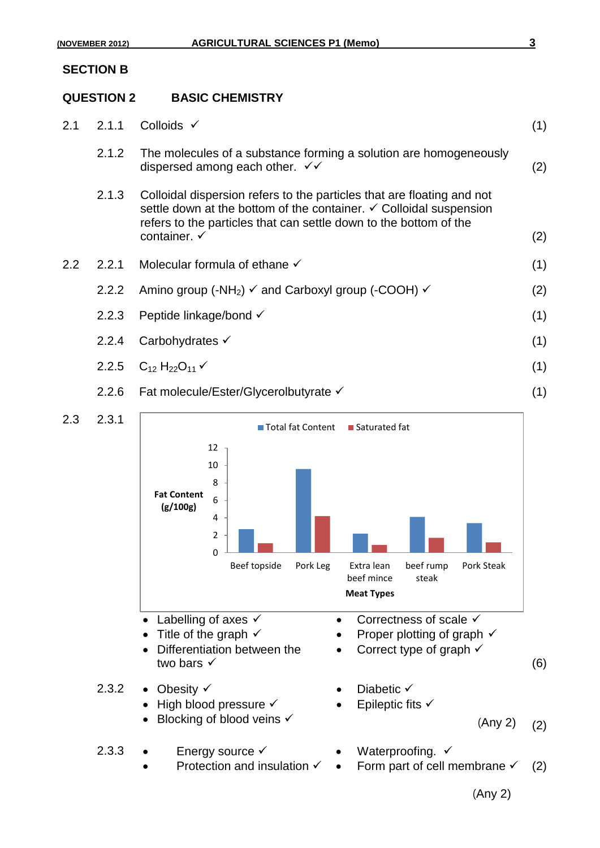### **SECTION B**

## **QUESTION 2 BASIC CHEMISTRY**

| 2.1     | 2.1.1 | Colloids $\checkmark$                                                                                                                                                                                                                                   | (1) |
|---------|-------|---------------------------------------------------------------------------------------------------------------------------------------------------------------------------------------------------------------------------------------------------------|-----|
|         | 2.1.2 | The molecules of a substance forming a solution are homogeneously<br>dispersed among each other. $\checkmark\checkmark$                                                                                                                                 | (2) |
|         | 2.1.3 | Colloidal dispersion refers to the particles that are floating and not<br>settle down at the bottom of the container. $\checkmark$ Colloidal suspension<br>refers to the particles that can settle down to the bottom of the<br>container. $\checkmark$ | (2) |
| $2.2\,$ | 2.2.1 | Molecular formula of ethane $\checkmark$                                                                                                                                                                                                                | (1) |
|         | 2.2.2 | Amino group (-NH <sub>2</sub> ) $\checkmark$ and Carboxyl group (-COOH) $\checkmark$                                                                                                                                                                    | (2) |
|         | 2.2.3 | Peptide linkage/bond √                                                                                                                                                                                                                                  | (1) |
|         | 2.2.4 | Carbohydrates √                                                                                                                                                                                                                                         | (1) |
|         |       | 2.2.5 $C_{12}H_{22}O_{11}V$                                                                                                                                                                                                                             | (1) |
|         | 2.2.6 | Fat molecule/Ester/Glycerolbutyrate V                                                                                                                                                                                                                   | (1) |
|         |       |                                                                                                                                                                                                                                                         |     |

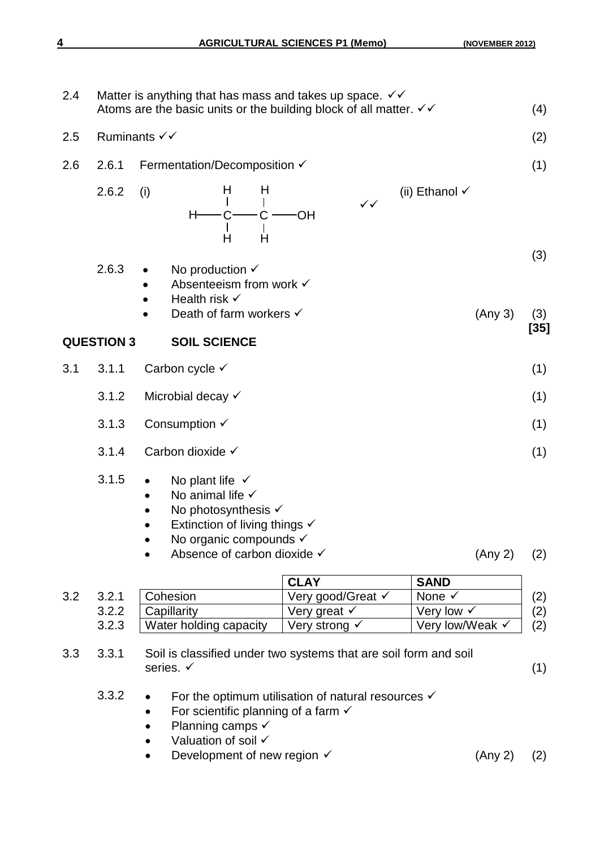| 2.4 |                   |           | Matter is anything that has mass and takes up space. $\checkmark\checkmark$<br>Atoms are the basic units or the building block of all matter. $\checkmark\checkmark$                                        |        |        |              |                   |              |                           |                 | (4)        |
|-----|-------------------|-----------|-------------------------------------------------------------------------------------------------------------------------------------------------------------------------------------------------------------|--------|--------|--------------|-------------------|--------------|---------------------------|-----------------|------------|
| 2.5 | Ruminants √√      |           |                                                                                                                                                                                                             |        |        |              |                   |              |                           |                 | (2)        |
| 2.6 | 2.6.1             |           | Fermentation/Decomposition √                                                                                                                                                                                |        |        |              |                   |              |                           |                 | (1)        |
|     | 2.6.2             | (i)       | H                                                                                                                                                                                                           | H<br>Ĥ | H<br>Ĥ | <b>OH</b>    |                   | $\checkmark$ | (ii) Ethanol $\checkmark$ |                 |            |
|     | 2.6.3             | $\bullet$ | No production $\checkmark$<br>Absenteeism from work √<br>Health risk $\checkmark$<br>Death of farm workers √                                                                                                |        |        |              |                   |              |                           | (Any 3)         | (3)<br>(3) |
|     | <b>QUESTION 3</b> |           | <b>SOIL SCIENCE</b>                                                                                                                                                                                         |        |        |              |                   |              |                           |                 | $[35]$     |
| 3.1 | 3.1.1             |           | Carbon cycle √                                                                                                                                                                                              |        |        |              |                   |              |                           |                 | (1)        |
|     | 3.1.2             |           | Microbial decay √                                                                                                                                                                                           |        |        |              |                   |              |                           |                 | (1)        |
|     | 3.1.3             |           | Consumption $\checkmark$                                                                                                                                                                                    |        |        |              |                   |              |                           |                 | (1)        |
|     | 3.1.4             |           | Carbon dioxide √                                                                                                                                                                                            |        |        |              |                   |              |                           |                 | (1)        |
|     | 3.1.5             | $\bullet$ | No plant life $\checkmark$<br>No animal life $\checkmark$<br>No photosynthesis $\checkmark$<br>Extinction of living things $\checkmark$<br>No organic compounds $\checkmark$<br>Absence of carbon dioxide √ |        |        |              |                   |              |                           | (Any 2)         | (2)        |
|     |                   |           |                                                                                                                                                                                                             |        |        | <b>CLAY</b>  |                   |              | <b>SAND</b>               |                 |            |
| 3.2 | 3.2.1             |           | Cohesion                                                                                                                                                                                                    |        |        |              | Very good/Great √ |              | None $\checkmark$         |                 | (2)        |
|     | 3.2.2             |           | Capillarity                                                                                                                                                                                                 |        |        | Very great √ |                   |              | Very low √                |                 | (2)        |
|     | 3.2.3             |           | Water holding capacity                                                                                                                                                                                      |        |        |              | Very strong √     |              |                           | Very low/Weak √ | (2)        |
| 3.3 | 3.3.1             | series. √ | Soil is classified under two systems that are soil form and soil                                                                                                                                            |        |        |              |                   |              |                           |                 | (1)        |

- 3.3.2  $\bullet$  For the optimum utilisation of natural resources  $\checkmark$ 
	- For scientific planning of a farm  $\checkmark$
	- Planning camps  $\checkmark$
	- $\bullet$  Valuation of soil  $\checkmark$
	- Development of new region  $\checkmark$  (Any 2) (2)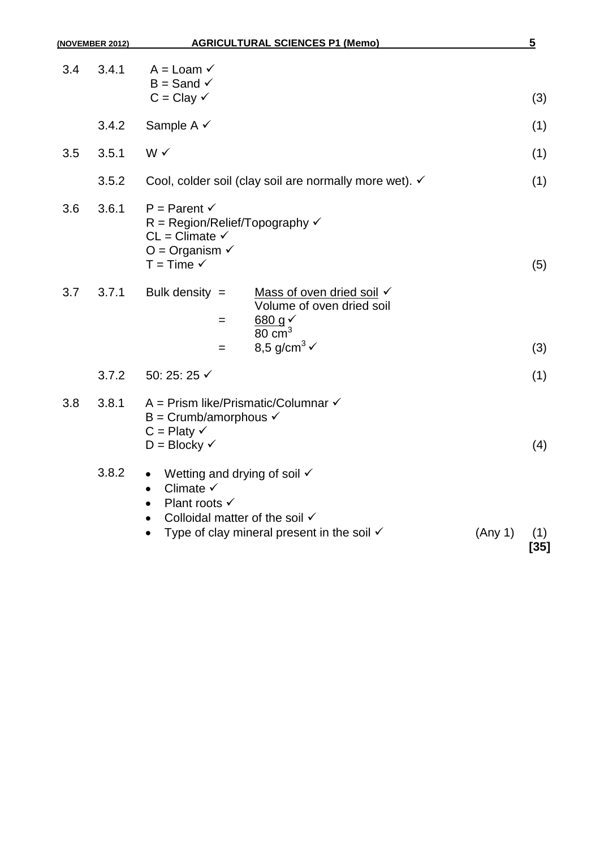| (NOVEMBER 2012) |       | <b>AGRICULTURAL SCIENCES P1 (Memo)</b>                                                                                                                                                                                        |         | $\overline{\mathbf{5}}$ |
|-----------------|-------|-------------------------------------------------------------------------------------------------------------------------------------------------------------------------------------------------------------------------------|---------|-------------------------|
| 3.4             | 3.4.1 | $A =$ Loam $\checkmark$<br>$B =$ Sand $\checkmark$<br>$C = Clay \checkmark$                                                                                                                                                   |         | (3)                     |
|                 | 3.4.2 | Sample A √                                                                                                                                                                                                                    |         | (1)                     |
| 3.5             | 3.5.1 | W√                                                                                                                                                                                                                            |         | (1)                     |
|                 | 3.5.2 | Cool, colder soil (clay soil are normally more wet). √                                                                                                                                                                        |         | (1)                     |
| 3.6             | 3.6.1 | $P = Parent \checkmark$<br>$R = Region/Relief/Topography \checkmark$<br>$CL = Climate \checkmark$<br>$O =$ Organism $\checkmark$<br>$T = Time \checkmark$                                                                     |         | (5)                     |
| 3.7             | 3.7.1 | Bulk density $=$<br>Mass of oven dried soil √<br>Volume of oven dried soil<br>680 g <sub>Y</sub><br>$=$<br>$80 \text{ cm}^3$<br>8,5 g/cm <sup>3</sup> $\checkmark$<br>$=$                                                     |         | (3)                     |
|                 | 3.7.2 | 50: 25: 25 √                                                                                                                                                                                                                  |         | (1)                     |
| 3.8             | 3.8.1 | A = Prism like/Prismatic/Columnar $\checkmark$<br>B = Crumb/amorphous $\checkmark$<br>$C =$ Platy $\checkmark$<br>$D = Blocky$ $\checkmark$                                                                                   |         | (4)                     |
|                 | 3.8.2 | Wetting and drying of soil $\checkmark$<br>$\bullet$<br>Climate $\checkmark$<br>$\bullet$<br>Plant roots $\checkmark$<br>$\bullet$<br>Colloidal matter of the soil √<br>Type of clay mineral present in the soil $\checkmark$ | (Any 1) | (1)<br>$[35]$           |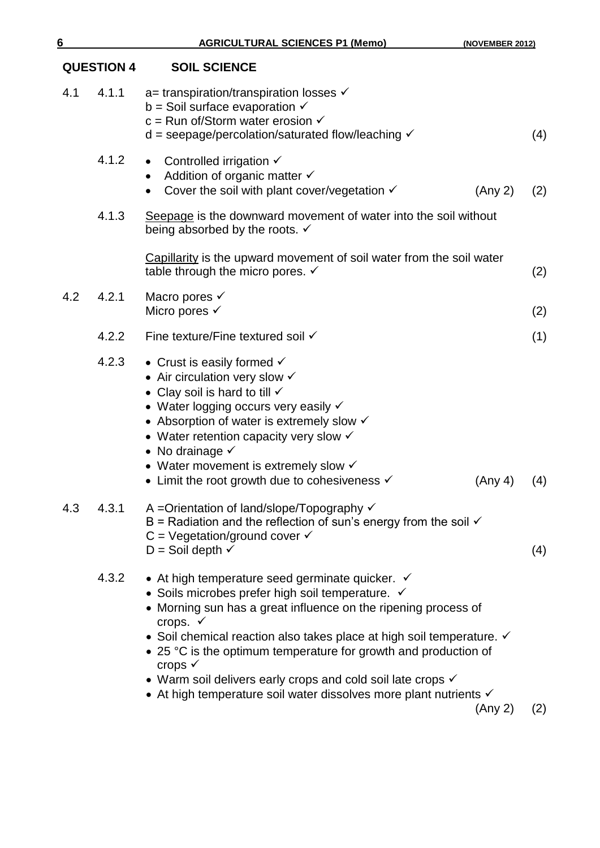|     | <b>QUESTION 4</b> | <b>SOIL SCIENCE</b>                                                                                                                                                                                                                                                                                                                                                                                                                                                                                                                            |         |     |
|-----|-------------------|------------------------------------------------------------------------------------------------------------------------------------------------------------------------------------------------------------------------------------------------------------------------------------------------------------------------------------------------------------------------------------------------------------------------------------------------------------------------------------------------------------------------------------------------|---------|-----|
| 4.1 | 4.1.1             | $a=$ transpiration/transpiration losses $\checkmark$<br>$b =$ Soil surface evaporation $\checkmark$<br>$c =$ Run of/Storm water erosion $\checkmark$<br>$d =$ seepage/percolation/saturated flow/leaching $\checkmark$                                                                                                                                                                                                                                                                                                                         |         | (4) |
|     | 4.1.2             | Controlled irrigation $\checkmark$<br>$\bullet$<br>Addition of organic matter √<br>Cover the soil with plant cover/vegetation $\checkmark$                                                                                                                                                                                                                                                                                                                                                                                                     | (Any 2) | (2) |
|     | 4.1.3             | Seepage is the downward movement of water into the soil without<br>being absorbed by the roots. $\checkmark$                                                                                                                                                                                                                                                                                                                                                                                                                                   |         |     |
|     |                   | Capillarity is the upward movement of soil water from the soil water<br>table through the micro pores. $\checkmark$                                                                                                                                                                                                                                                                                                                                                                                                                            |         | (2) |
| 4.2 | 4.2.1             | Macro pores V<br>Micro pores $\checkmark$                                                                                                                                                                                                                                                                                                                                                                                                                                                                                                      |         | (2) |
|     | 4.2.2             | Fine texture/Fine textured soil √                                                                                                                                                                                                                                                                                                                                                                                                                                                                                                              |         | (1) |
|     | 4.2.3             | • Crust is easily formed $\checkmark$<br>• Air circulation very slow $\checkmark$<br>• Clay soil is hard to till $\checkmark$<br>• Water logging occurs very easily v<br>• Absorption of water is extremely slow $\checkmark$<br>• Water retention capacity very slow $\checkmark$<br>• No drainage $\checkmark$<br>• Water movement is extremely slow $\checkmark$<br>• Limit the root growth due to cohesiveness $\checkmark$                                                                                                                | (Any 4) | (4) |
| 4.3 | 4.3.1             | A =Orientation of land/slope/Topography ✓<br>B = Radiation and the reflection of sun's energy from the soil $\checkmark$<br>$C = Vegetation/ground cover \checkmark$<br>$D =$ Soil depth $\checkmark$                                                                                                                                                                                                                                                                                                                                          |         | (4) |
|     | 4.3.2             | • At high temperature seed germinate quicker. $\checkmark$<br>• Soils microbes prefer high soil temperature. $\checkmark$<br>• Morning sun has a great influence on the ripening process of<br>crops. √<br>• Soil chemical reaction also takes place at high soil temperature. $\checkmark$<br>• 25 °C is the optimum temperature for growth and production of<br>crops $\checkmark$<br>• Warm soil delivers early crops and cold soil late crops $\checkmark$<br>• At high temperature soil water dissolves more plant nutrients $\checkmark$ | (Any 2) | (2) |